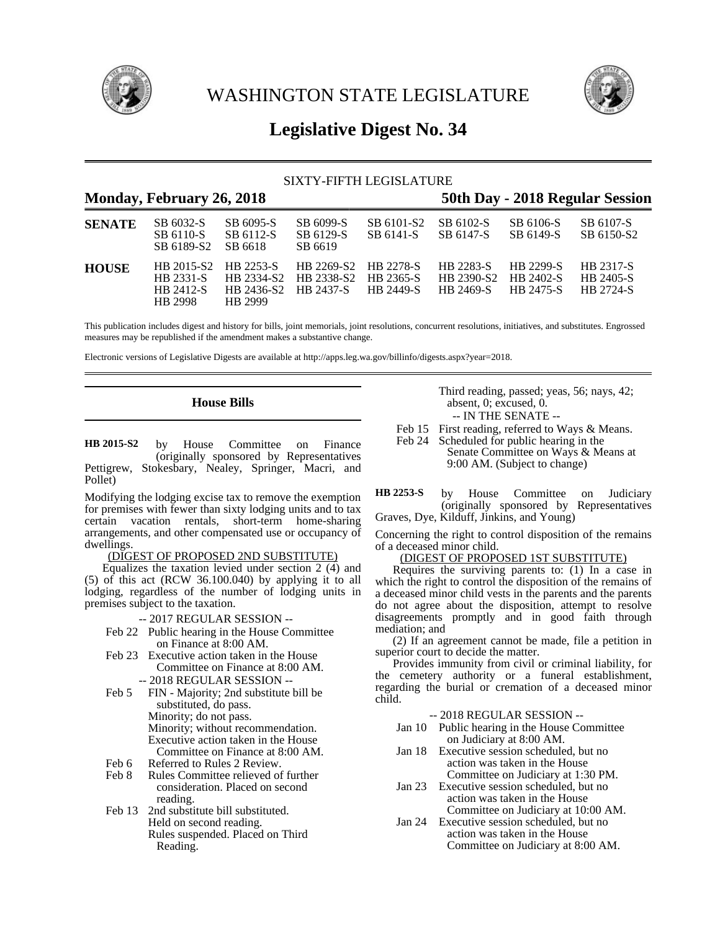

WASHINGTON STATE LEGISLATURE



# **Legislative Digest No. 34**

# SIXTY-FIFTH LEGISLATURE

|               | Monday, February 26, 2018                       |                                                            |                                   |                                            |                                      |                                            | 50th Day - 2018 Regular Session     |
|---------------|-------------------------------------------------|------------------------------------------------------------|-----------------------------------|--------------------------------------------|--------------------------------------|--------------------------------------------|-------------------------------------|
| <b>SENATE</b> | SB 6032-S<br>SB 6110-S<br>SB 6189-S2            | SB 6095-S<br>SB 6112-S<br>SB 6618                          | SB 6099-S<br>SB 6129-S<br>SB 6619 | SB 6101-S2<br>SB 6141-S                    | SB 6102-S<br>SB 6147-S               | SB 6106-S<br>SB 6149-S                     | SB 6107-S<br>SB 6150-S2             |
| <b>HOUSE</b>  | HB 2015-S2<br>HB 2331-S<br>HB 2412-S<br>HB 2998 | HR 2253-S<br>HB 2334-S2<br>HB 2436-S2 HB 2437-S<br>HB 2999 | HB 2269-S2<br>HB 2338-S2          | <b>HR 2278-S</b><br>HB 2365-S<br>HR 2449-S | HB 2283-S<br>HB 2390-S2<br>HB 2469-S | HB 2299-S<br>HB 2402-S<br><b>HB 2475-S</b> | HB 2317-S<br>HB 2405-S<br>HB 2724-S |

This publication includes digest and history for bills, joint memorials, joint resolutions, concurrent resolutions, initiatives, and substitutes. Engrossed measures may be republished if the amendment makes a substantive change.

Electronic versions of Legislative Digests are available at http://apps.leg.wa.gov/billinfo/digests.aspx?year=2018.

# **House Bills**

by House Committee on Finance (originally sponsored by Representatives Pettigrew, Stokesbary, Nealey, Springer, Macri, and Pollet) **HB 2015-S2**

Modifying the lodging excise tax to remove the exemption for premises with fewer than sixty lodging units and to tax certain vacation rentals, short-term home-sharing arrangements, and other compensated use or occupancy of dwellings.

#### (DIGEST OF PROPOSED 2ND SUBSTITUTE)

Equalizes the taxation levied under section  $2(4)$  and (5) of this act (RCW 36.100.040) by applying it to all lodging, regardless of the number of lodging units in premises subject to the taxation.

-- 2017 REGULAR SESSION --

- Feb 22 Public hearing in the House Committee on Finance at 8:00 AM.
- Feb 23 Executive action taken in the House Committee on Finance at 8:00 AM. -- 2018 REGULAR SESSION --
- Feb 5 FIN Majority; 2nd substitute bill be substituted, do pass. Minority; do not pass. Minority; without recommendation. Executive action taken in the House Committee on Finance at 8:00 AM.
- Feb 6 Referred to Rules 2 Review.<br>Feb 8 Rules Committee relieved of
- Rules Committee relieved of further consideration. Placed on second reading.
- Feb 13 2nd substitute bill substituted. Held on second reading. Rules suspended. Placed on Third Reading.

Third reading, passed; yeas, 56; nays, 42; absent, 0; excused, 0. -- IN THE SENATE --

- 
- Feb 15 First reading, referred to Ways & Means.<br>Feb 24 Scheduled for public hearing in the Scheduled for public hearing in the
	- Senate Committee on Ways & Means at 9:00 AM. (Subject to change)

by House Committee on Judiciary (originally sponsored by Representatives Graves, Dye, Kilduff, Jinkins, and Young) **HB 2253-S**

Concerning the right to control disposition of the remains of a deceased minor child.

#### (DIGEST OF PROPOSED 1ST SUBSTITUTE)

Requires the surviving parents to: (1) In a case in which the right to control the disposition of the remains of a deceased minor child vests in the parents and the parents do not agree about the disposition, attempt to resolve disagreements promptly and in good faith through mediation; and

(2) If an agreement cannot be made, file a petition in superior court to decide the matter.

Provides immunity from civil or criminal liability, for the cemetery authority or a funeral establishment, regarding the burial or cremation of a deceased minor child.

- Jan 10 Public hearing in the House Committee on Judiciary at 8:00 AM.
- Jan 18 Executive session scheduled, but no action was taken in the House Committee on Judiciary at 1:30 PM.
- Jan 23 Executive session scheduled, but no action was taken in the House Committee on Judiciary at 10:00 AM.
- Jan 24 Executive session scheduled, but no action was taken in the House Committee on Judiciary at 8:00 AM.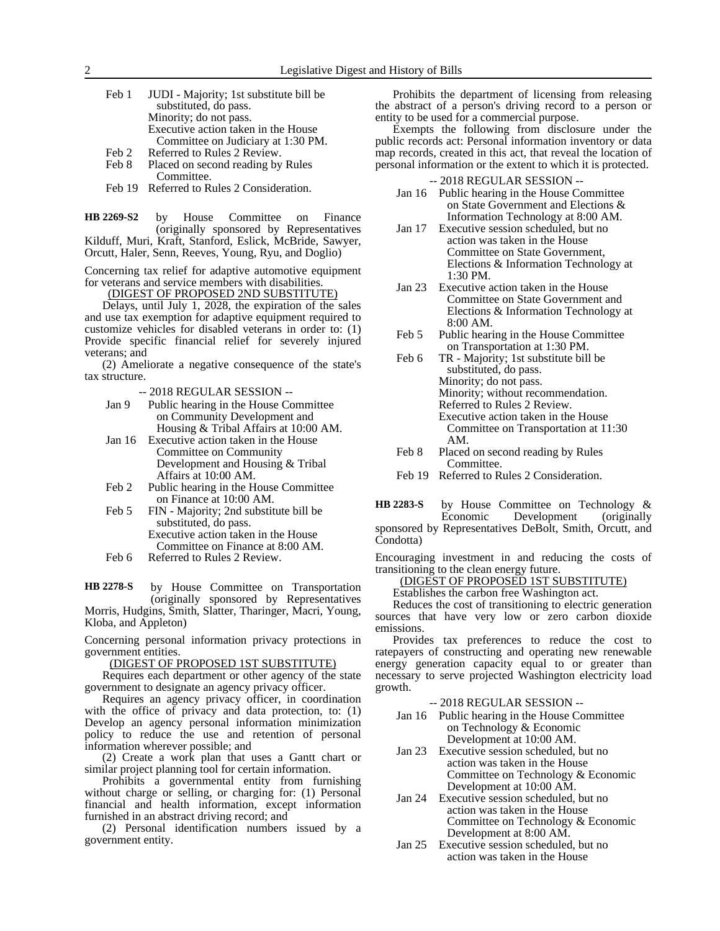| Feb 1 | JUDI - Majority; 1st substitute bill be |
|-------|-----------------------------------------|
|       | substituted, do pass.                   |
|       | Minority; do not pass.                  |
|       | Executive action taken in the House     |
|       | Committee on Judiciary at 1:30 PM.      |
| Feb 2 | Referred to Rules 2 Review.             |

- Feb 8 Placed on second reading by Rules Committee.
- Feb 19 Referred to Rules 2 Consideration.

by House Committee on Finance (originally sponsored by Representatives Kilduff, Muri, Kraft, Stanford, Eslick, McBride, Sawyer, Orcutt, Haler, Senn, Reeves, Young, Ryu, and Doglio) **HB 2269-S2**

Concerning tax relief for adaptive automotive equipment for veterans and service members with disabilities.

(DIGEST OF PROPOSED 2ND SUBSTITUTE)

Delays, until July 1, 2028, the expiration of the sales and use tax exemption for adaptive equipment required to customize vehicles for disabled veterans in order to: (1) Provide specific financial relief for severely injured veterans; and

(2) Ameliorate a negative consequence of the state's tax structure.

-- 2018 REGULAR SESSION --

- Jan 9 Public hearing in the House Committee on Community Development and Housing & Tribal Affairs at 10:00 AM.
- Jan 16 Executive action taken in the House Committee on Community Development and Housing & Tribal Affairs at 10:00 AM.
- Feb 2 Public hearing in the House Committee on Finance at 10:00 AM.
- Feb 5 FIN Majority; 2nd substitute bill be substituted, do pass. Executive action taken in the House Committee on Finance at 8:00 AM.
- Feb 6 Referred to Rules 2 Review.

by House Committee on Transportation (originally sponsored by Representatives Morris, Hudgins, Smith, Slatter, Tharinger, Macri, Young, **HB 2278-S**

Kloba, and Appleton)

Concerning personal information privacy protections in government entities.

(DIGEST OF PROPOSED 1ST SUBSTITUTE)

Requires each department or other agency of the state government to designate an agency privacy officer.

Requires an agency privacy officer, in coordination with the office of privacy and data protection, to: (1) Develop an agency personal information minimization policy to reduce the use and retention of personal information wherever possible; and

(2) Create a work plan that uses a Gantt chart or similar project planning tool for certain information.

Prohibits a governmental entity from furnishing without charge or selling, or charging for: (1) Personal financial and health information, except information furnished in an abstract driving record; and

(2) Personal identification numbers issued by a government entity.

Prohibits the department of licensing from releasing the abstract of a person's driving record to a person or entity to be used for a commercial purpose.

Exempts the following from disclosure under the public records act: Personal information inventory or data map records, created in this act, that reveal the location of personal information or the extent to which it is protected.

-- 2018 REGULAR SESSION --

- Jan 16 Public hearing in the House Committee on State Government and Elections & Information Technology at 8:00 AM.
- Jan 17 Executive session scheduled, but no action was taken in the House Committee on State Government, Elections & Information Technology at 1:30 PM.
- Jan 23 Executive action taken in the House Committee on State Government and Elections & Information Technology at 8:00 AM.
- Feb 5 Public hearing in the House Committee on Transportation at 1:30 PM.
- Feb 6 TR Majority; 1st substitute bill be substituted, do pass. Minority; do not pass. Minority; without recommendation. Referred to Rules 2 Review. Executive action taken in the House Committee on Transportation at 11:30 AM.
- Feb 8 Placed on second reading by Rules **Committee**
- Feb 19 Referred to Rules 2 Consideration.

by House Committee on Technology &<br>Economic Development (originally Development (originally sponsored by Representatives DeBolt, Smith, Orcutt, and **HB 2283-S**

Condotta)

Encouraging investment in and reducing the costs of transitioning to the clean energy future.

(DIGEST OF PROPOSED 1ST SUBSTITUTE)

Establishes the carbon free Washington act.

Reduces the cost of transitioning to electric generation sources that have very low or zero carbon dioxide emissions.

Provides tax preferences to reduce the cost to ratepayers of constructing and operating new renewable energy generation capacity equal to or greater than necessary to serve projected Washington electricity load growth.

- Jan 16 Public hearing in the House Committee on Technology & Economic Development at 10:00 AM.
- Jan 23 Executive session scheduled, but no action was taken in the House Committee on Technology & Economic Development at 10:00 AM.
- Jan 24 Executive session scheduled, but no action was taken in the House Committee on Technology & Economic Development at 8:00 AM.
- Jan 25 Executive session scheduled, but no action was taken in the House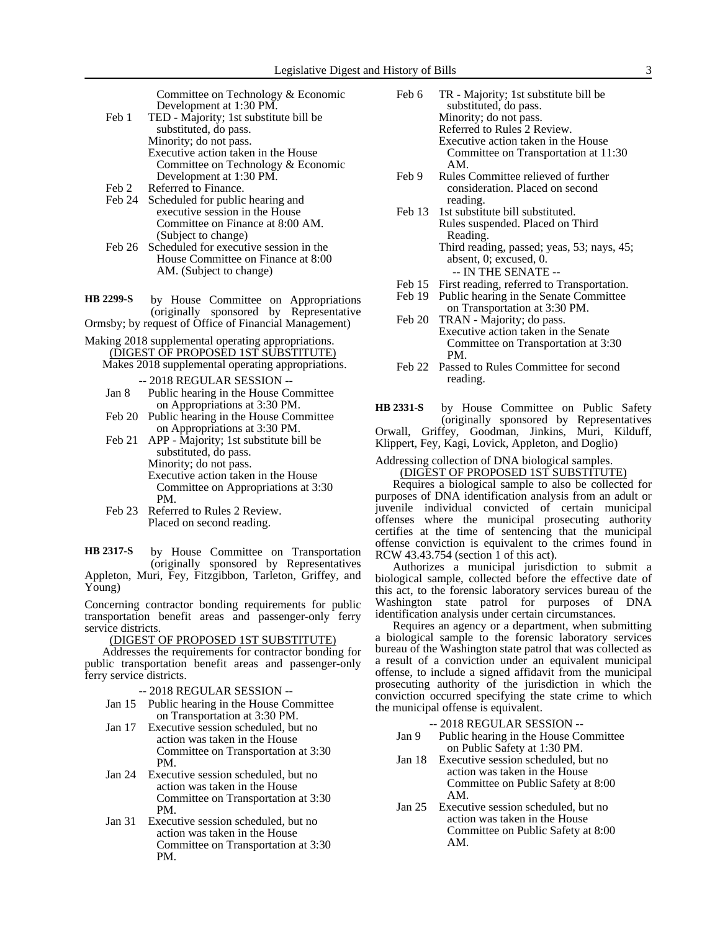Committee on Technology & Economic Development at 1:30 PM.

- Feb 1 TED Majority; 1st substitute bill be substituted, do pass. Minority; do not pass. Executive action taken in the House Committee on Technology & Economic Development at 1:30 PM.
- Feb 2 Referred to Finance.
- Feb 24 Scheduled for public hearing and executive session in the House Committee on Finance at 8:00 AM. (Subject to change)
- Feb 26 Scheduled for executive session in the House Committee on Finance at 8:00 AM. (Subject to change)
- by House Committee on Appropriations (originally sponsored by Representative Ormsby; by request of Office of Financial Management) **HB 2299-S**
- Making 2018 supplemental operating appropriations. (DIGEST OF PROPOSED 1ST SUBSTITUTE)
	- Makes 2018 supplemental operating appropriations. -- 2018 REGULAR SESSION --
		- Jan 8 Public hearing in the House Committee on Appropriations at 3:30 PM.
		- Feb 20 Public hearing in the House Committee on Appropriations at 3:30 PM.
		- Feb 21 APP Majority; 1st substitute bill be substituted, do pass. Minority; do not pass. Executive action taken in the House Committee on Appropriations at 3:30 PM.
		- Feb 23 Referred to Rules 2 Review. Placed on second reading.

by House Committee on Transportation (originally sponsored by Representatives Appleton, Muri, Fey, Fitzgibbon, Tarleton, Griffey, and Young) **HB 2317-S**

Concerning contractor bonding requirements for public transportation benefit areas and passenger-only ferry service districts.

(DIGEST OF PROPOSED 1ST SUBSTITUTE)

Addresses the requirements for contractor bonding for public transportation benefit areas and passenger-only ferry service districts.

- -- 2018 REGULAR SESSION --
- Jan 15 Public hearing in the House Committee on Transportation at 3:30 PM.
- Jan 17 Executive session scheduled, but no action was taken in the House Committee on Transportation at 3:30 PM.
- Jan 24 Executive session scheduled, but no action was taken in the House Committee on Transportation at 3:30 PM.
- Jan 31 Executive session scheduled, but no action was taken in the House Committee on Transportation at 3:30 PM.
- Feb 6 TR Majority; 1st substitute bill be substituted, do pass. Minority; do not pass. Referred to Rules 2 Review. Executive action taken in the House Committee on Transportation at 11:30 AM.
- Feb 9 Rules Committee relieved of further consideration. Placed on second reading.
- Feb 13 1st substitute bill substituted. Rules suspended. Placed on Third Reading. Third reading, passed; yeas, 53; nays, 45; absent, 0; excused, 0. -- IN THE SENATE --
- Feb 15 First reading, referred to Transportation.
- Feb 19 Public hearing in the Senate Committee
- on Transportation at 3:30 PM. Feb 20 TRAN - Majority; do pass. Executive action taken in the Senate Committee on Transportation at 3:30 PM.
- Feb 22 Passed to Rules Committee for second reading.

by House Committee on Public Safety (originally sponsored by Representatives Orwall, Griffey, Goodman, Jinkins, Muri, Kilduff, Klippert, Fey, Kagi, Lovick, Appleton, and Doglio) **HB 2331-S**

Addressing collection of DNA biological samples.

## (DIGEST OF PROPOSED 1ST SUBSTITUTE)

Requires a biological sample to also be collected for purposes of DNA identification analysis from an adult or juvenile individual convicted of certain municipal offenses where the municipal prosecuting authority certifies at the time of sentencing that the municipal offense conviction is equivalent to the crimes found in RCW 43.43.754 (section 1 of this act).

Authorizes a municipal jurisdiction to submit a biological sample, collected before the effective date of this act, to the forensic laboratory services bureau of the Washington state patrol for purposes of DNA identification analysis under certain circumstances.

Requires an agency or a department, when submitting a biological sample to the forensic laboratory services bureau of the Washington state patrol that was collected as a result of a conviction under an equivalent municipal offense, to include a signed affidavit from the municipal prosecuting authority of the jurisdiction in which the conviction occurred specifying the state crime to which the municipal offense is equivalent.

- Jan 9 Public hearing in the House Committee on Public Safety at 1:30 PM.
- Jan 18 Executive session scheduled, but no action was taken in the House Committee on Public Safety at 8:00 AM.
- Jan 25 Executive session scheduled, but no action was taken in the House Committee on Public Safety at 8:00 AM.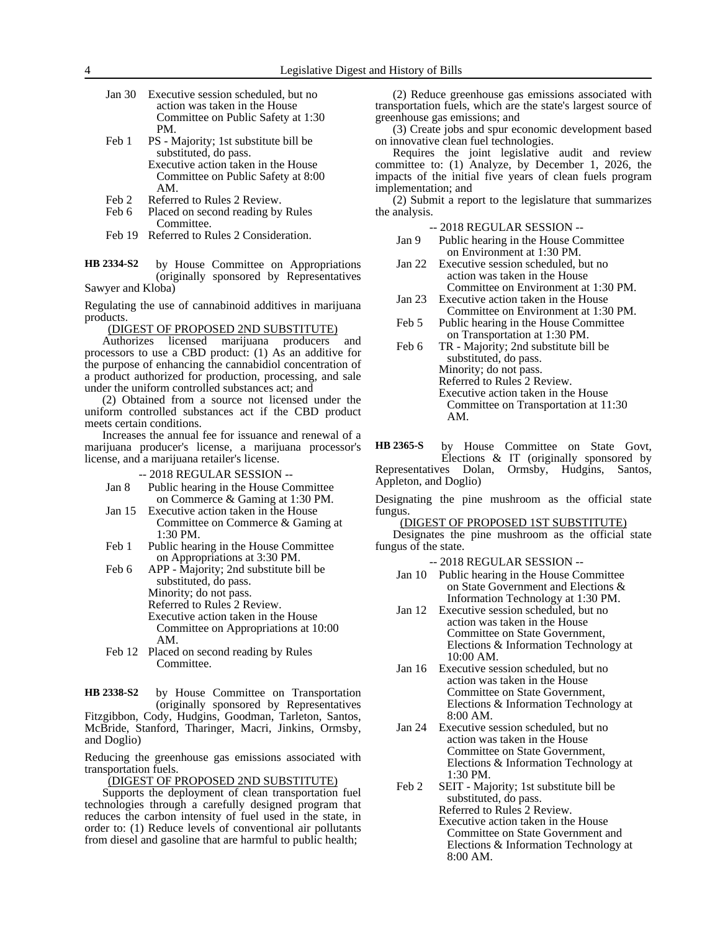- Jan 30 Executive session scheduled, but no action was taken in the House Committee on Public Safety at 1:30 PM.
- Feb 1 PS Majority; 1st substitute bill be substituted, do pass. Executive action taken in the House
	- Committee on Public Safety at 8:00 AM.
- Feb 2 Referred to Rules 2 Review.
- Feb 6 Placed on second reading by Rules Committee.
- Feb 19 Referred to Rules 2 Consideration.

by House Committee on Appropriations (originally sponsored by Representatives Sawyer and Kloba) **HB 2334-S2**

Regulating the use of cannabinoid additives in marijuana products.

(DIGEST OF PROPOSED 2ND SUBSTITUTE)<br>
uuthorizes licensed marijuana producers

Authorizes licensed marijuana producers and processors to use a CBD product: (1) As an additive for the purpose of enhancing the cannabidiol concentration of a product authorized for production, processing, and sale under the uniform controlled substances act; and

(2) Obtained from a source not licensed under the uniform controlled substances act if the CBD product meets certain conditions.

Increases the annual fee for issuance and renewal of a marijuana producer's license, a marijuana processor's license, and a marijuana retailer's license.

-- 2018 REGULAR SESSION --

- Jan 8 Public hearing in the House Committee on Commerce & Gaming at 1:30 PM.
- Jan 15 Executive action taken in the House Committee on Commerce & Gaming at 1:30 PM.
- Feb 1 Public hearing in the House Committee on Appropriations at 3:30 PM.

Feb 6 APP - Majority; 2nd substitute bill be substituted, do pass. Minority; do not pass. Referred to Rules 2 Review. Executive action taken in the House Committee on Appropriations at 10:00 AM.

Feb 12 Placed on second reading by Rules Committee.

by House Committee on Transportation (originally sponsored by Representatives Fitzgibbon, Cody, Hudgins, Goodman, Tarleton, Santos, McBride, Stanford, Tharinger, Macri, Jinkins, Ormsby, and Doglio) **HB 2338-S2**

Reducing the greenhouse gas emissions associated with transportation fuels.

(DIGEST OF PROPOSED 2ND SUBSTITUTE)

Supports the deployment of clean transportation fuel technologies through a carefully designed program that reduces the carbon intensity of fuel used in the state, in order to: (1) Reduce levels of conventional air pollutants from diesel and gasoline that are harmful to public health;

(2) Reduce greenhouse gas emissions associated with transportation fuels, which are the state's largest source of greenhouse gas emissions; and

(3) Create jobs and spur economic development based on innovative clean fuel technologies.

Requires the joint legislative audit and review committee to: (1) Analyze, by December 1, 2026, the impacts of the initial five years of clean fuels program implementation; and

(2) Submit a report to the legislature that summarizes the analysis.

-- 2018 REGULAR SESSION --

- Jan 9 Public hearing in the House Committee on Environment at 1:30 PM.
- Jan 22 Executive session scheduled, but no action was taken in the House Committee on Environment at 1:30 PM.
- Jan 23 Executive action taken in the House Committee on Environment at 1:30 PM.
- Feb 5 Public hearing in the House Committee on Transportation at 1:30 PM.

Feb 6 TR - Majority; 2nd substitute bill be substituted, do pass. Minority; do not pass. Referred to Rules 2 Review. Executive action taken in the House Committee on Transportation at 11:30 AM.

by House Committee on State Govt, Elections & IT (originally sponsored by Representatives Dolan, Ormsby, Hudgins, Santos, Appleton, and Doglio) **HB 2365-S**

Designating the pine mushroom as the official state fungus.

(DIGEST OF PROPOSED 1ST SUBSTITUTE)

Designates the pine mushroom as the official state fungus of the state.

- Jan 10 Public hearing in the House Committee on State Government and Elections & Information Technology at 1:30 PM.
- Jan 12 Executive session scheduled, but no action was taken in the House Committee on State Government, Elections & Information Technology at 10:00 AM.
- Jan 16 Executive session scheduled, but no action was taken in the House Committee on State Government, Elections & Information Technology at 8:00 AM.
- Jan 24 Executive session scheduled, but no action was taken in the House Committee on State Government, Elections & Information Technology at 1:30 PM.
- Feb 2 SEIT Majority; 1st substitute bill be substituted, do pass. Referred to Rules 2 Review. Executive action taken in the House Committee on State Government and Elections & Information Technology at 8:00 AM.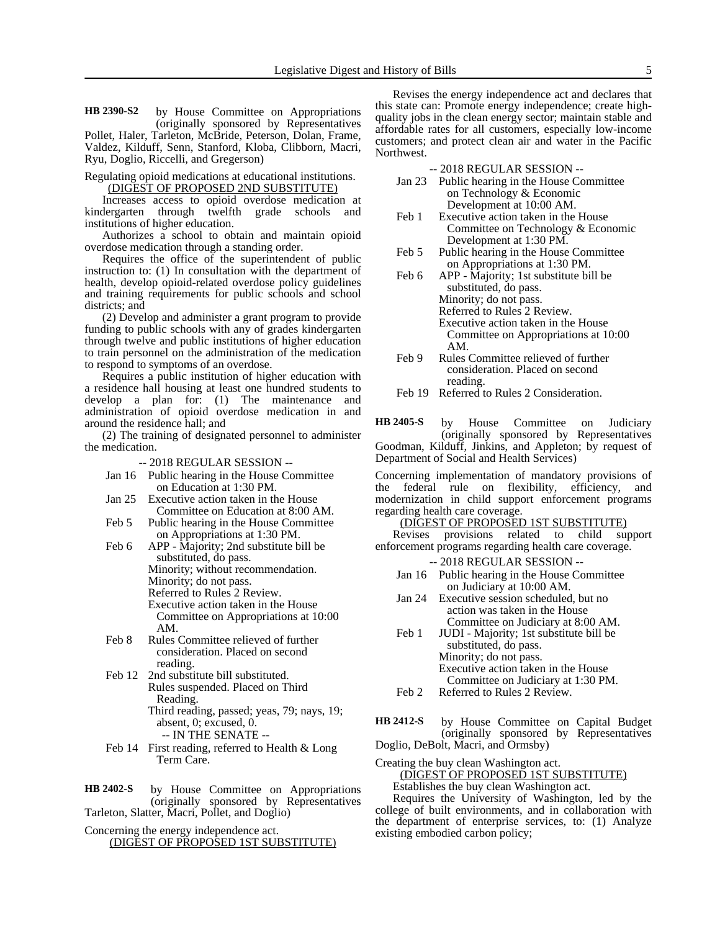by House Committee on Appropriations (originally sponsored by Representatives Pollet, Haler, Tarleton, McBride, Peterson, Dolan, Frame, **HB 2390-S2**

Valdez, Kilduff, Senn, Stanford, Kloba, Clibborn, Macri, Ryu, Doglio, Riccelli, and Gregerson)

Regulating opioid medications at educational institutions. (DIGEST OF PROPOSED 2ND SUBSTITUTE)

Increases access to opioid overdose medication at kindergarten through twelfth grade schools and institutions of higher education.

Authorizes a school to obtain and maintain opioid overdose medication through a standing order.

Requires the office of the superintendent of public instruction to: (1) In consultation with the department of health, develop opioid-related overdose policy guidelines and training requirements for public schools and school districts; and

(2) Develop and administer a grant program to provide funding to public schools with any of grades kindergarten through twelve and public institutions of higher education to train personnel on the administration of the medication to respond to symptoms of an overdose.

Requires a public institution of higher education with a residence hall housing at least one hundred students to develop a plan for: (1) The maintenance and administration of opioid overdose medication in and around the residence hall; and

(2) The training of designated personnel to administer the medication.

-- 2018 REGULAR SESSION --

- Jan 16 Public hearing in the House Committee on Education at 1:30 PM.
- Jan 25 Executive action taken in the House Committee on Education at 8:00 AM.
- Feb 5 Public hearing in the House Committee on Appropriations at 1:30 PM.
- Feb 6 APP Majority; 2nd substitute bill be substituted, do pass. Minority; without recommendation. Minority; do not pass. Referred to Rules 2 Review. Executive action taken in the House Committee on Appropriations at 10:00 AM.
- Feb 8 Rules Committee relieved of further consideration. Placed on second reading.
- Feb 12 2nd substitute bill substituted. Rules suspended. Placed on Third Reading.
	- Third reading, passed; yeas, 79; nays, 19; absent, 0; excused, 0.
		- -- IN THE SENATE --
- Feb 14 First reading, referred to Health & Long Term Care.
- by House Committee on Appropriations (originally sponsored by Representatives Tarleton, Slatter, Macri, Pollet, and Doglio) **HB 2402-S**

Concerning the energy independence act.

(DIGEST OF PROPOSED 1ST SUBSTITUTE)

Revises the energy independence act and declares that this state can: Promote energy independence; create highquality jobs in the clean energy sector; maintain stable and affordable rates for all customers, especially low-income customers; and protect clean air and water in the Pacific Northwest.

-- 2018 REGULAR SESSION --

- Jan 23 Public hearing in the House Committee on Technology & Economic Development at 10:00 AM.
- Feb 1 Executive action taken in the House Committee on Technology & Economic Development at 1:30 PM.
- Feb 5 Public hearing in the House Committee on Appropriations at 1:30 PM.
- Feb 6 APP Majority; 1st substitute bill be substituted, do pass. Minority; do not pass. Referred to Rules 2 Review. Executive action taken in the House Committee on Appropriations at 10:00 AM.
- Feb 9 Rules Committee relieved of further consideration. Placed on second reading.
- Feb 19 Referred to Rules 2 Consideration.

by House Committee on Judiciary (originally sponsored by Representatives Goodman, Kilduff, Jinkins, and Appleton; by request of Department of Social and Health Services) **HB 2405-S**

Concerning implementation of mandatory provisions of the federal rule on flexibility, efficiency, and modernization in child support enforcement programs regarding health care coverage.

# (DIGEST OF PROPOSED 1ST SUBSTITUTE)

Revises provisions related to child support enforcement programs regarding health care coverage.

- -- 2018 REGULAR SESSION -- Jan 16 Public hearing in the House Committee on Judiciary at 10:00 AM.
- Jan 24 Executive session scheduled, but no action was taken in the House
- Committee on Judiciary at 8:00 AM. Feb 1 JUDI - Majority; 1st substitute bill be substituted, do pass. Minority; do not pass. Executive action taken in the House Committee on Judiciary at 1:30 PM.
- Feb 2 Referred to Rules 2 Review.

by House Committee on Capital Budget (originally sponsored by Representatives Doglio, DeBolt, Macri, and Ormsby) **HB 2412-S**

Creating the buy clean Washington act.

(DIGEST OF PROPOSED 1ST SUBSTITUTE)

Establishes the buy clean Washington act.

Requires the University of Washington, led by the college of built environments, and in collaboration with the department of enterprise services, to: (1) Analyze existing embodied carbon policy;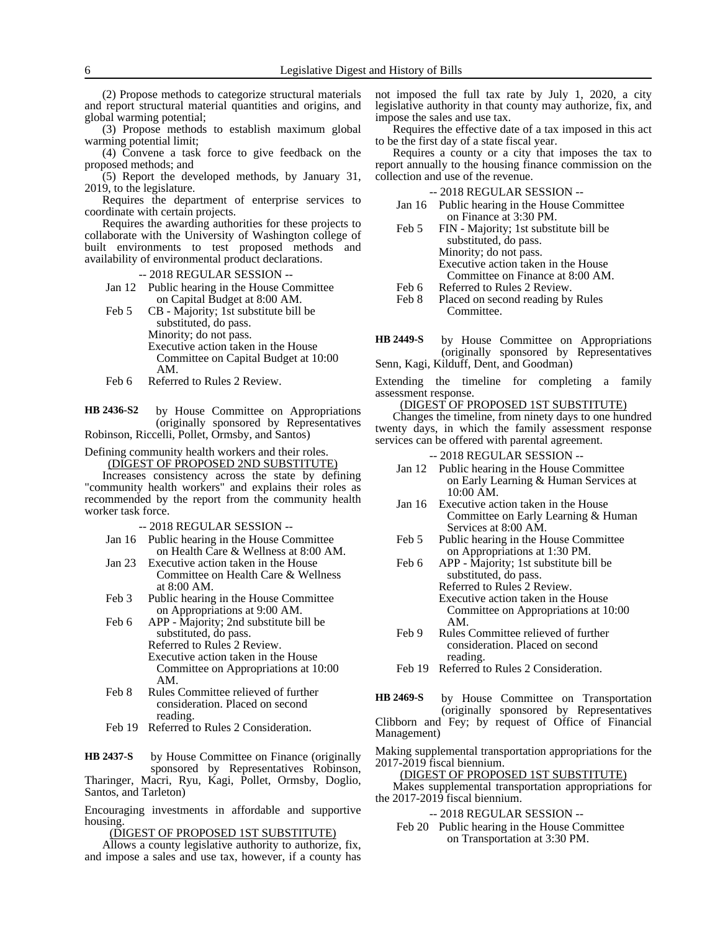(2) Propose methods to categorize structural materials and report structural material quantities and origins, and global warming potential;

(3) Propose methods to establish maximum global warming potential limit;

(4) Convene a task force to give feedback on the proposed methods; and

(5) Report the developed methods, by January 31, 2019, to the legislature.

Requires the department of enterprise services to coordinate with certain projects.

Requires the awarding authorities for these projects to collaborate with the University of Washington college of built environments to test proposed methods and availability of environmental product declarations.

-- 2018 REGULAR SESSION --

Jan 12 Public hearing in the House Committee on Capital Budget at 8:00 AM.

Feb 5 CB - Majority; 1st substitute bill be substituted, do pass. Minority; do not pass. Executive action taken in the House Committee on Capital Budget at 10:00 AM.

Feb 6 Referred to Rules 2 Review.

by House Committee on Appropriations (originally sponsored by Representatives Robinson, Riccelli, Pollet, Ormsby, and Santos) **HB 2436-S2**

#### Defining community health workers and their roles. (DIGEST OF PROPOSED 2ND SUBSTITUTE)

Increases consistency across the state by defining "community health workers" and explains their roles as recommended by the report from the community health worker task force.

-- 2018 REGULAR SESSION --

- Jan 16 Public hearing in the House Committee on Health Care & Wellness at 8:00 AM.
- Jan 23 Executive action taken in the House Committee on Health Care & Wellness at 8:00 AM.
- Feb 3 Public hearing in the House Committee on Appropriations at 9:00 AM.
- Feb 6 APP Majority; 2nd substitute bill be substituted, do pass. Referred to Rules 2 Review. Executive action taken in the House Committee on Appropriations at 10:00 AM.
- Feb 8 Rules Committee relieved of further consideration. Placed on second reading.
- Feb 19 Referred to Rules 2 Consideration.

by House Committee on Finance (originally sponsored by Representatives Robinson, Tharinger, Macri, Ryu, Kagi, Pollet, Ormsby, Doglio, Santos, and Tarleton) **HB 2437-S**

Encouraging investments in affordable and supportive housing.

(DIGEST OF PROPOSED 1ST SUBSTITUTE)

Allows a county legislative authority to authorize, fix, and impose a sales and use tax, however, if a county has not imposed the full tax rate by July 1, 2020, a city legislative authority in that county may authorize, fix, and impose the sales and use tax.

Requires the effective date of a tax imposed in this act to be the first day of a state fiscal year.

Requires a county or a city that imposes the tax to report annually to the housing finance commission on the collection and use of the revenue.

-- 2018 REGULAR SESSION --

- Jan 16 Public hearing in the House Committee on Finance at 3:30 PM.
- Feb 5 FIN Majority; 1st substitute bill be substituted, do pass. Minority; do not pass. Executive action taken in the House Committee on Finance at 8:00 AM. Feb 6 Referred to Rules 2 Review.<br>Feb 8 Placed on second reading by
- Placed on second reading by Rules Committee.

by House Committee on Appropriations (originally sponsored by Representatives Senn, Kagi, Kilduff, Dent, and Goodman) **HB 2449-S**

Extending the timeline for completing a family assessment response.

#### (DIGEST OF PROPOSED 1ST SUBSTITUTE)

Changes the timeline, from ninety days to one hundred twenty days, in which the family assessment response services can be offered with parental agreement.

- -- 2018 REGULAR SESSION --
- Jan 12 Public hearing in the House Committee on Early Learning & Human Services at 10:00 AM.
- Jan 16 Executive action taken in the House Committee on Early Learning & Human Services at 8:00 AM.
- Feb 5 Public hearing in the House Committee on Appropriations at 1:30 PM.
- Feb 6 APP Majority; 1st substitute bill be substituted, do pass. Referred to Rules 2 Review. Executive action taken in the House Committee on Appropriations at 10:00 AM.
- Feb 9 Rules Committee relieved of further consideration. Placed on second reading.
- Feb 19 Referred to Rules 2 Consideration.

by House Committee on Transportation (originally sponsored by Representatives Clibborn and Fey; by request of Office of Financial Management) **HB 2469-S**

Making supplemental transportation appropriations for the 2017-2019 fiscal biennium.

(DIGEST OF PROPOSED 1ST SUBSTITUTE)

Makes supplemental transportation appropriations for the 2017-2019 fiscal biennium.

-- 2018 REGULAR SESSION --

Feb 20 Public hearing in the House Committee on Transportation at 3:30 PM.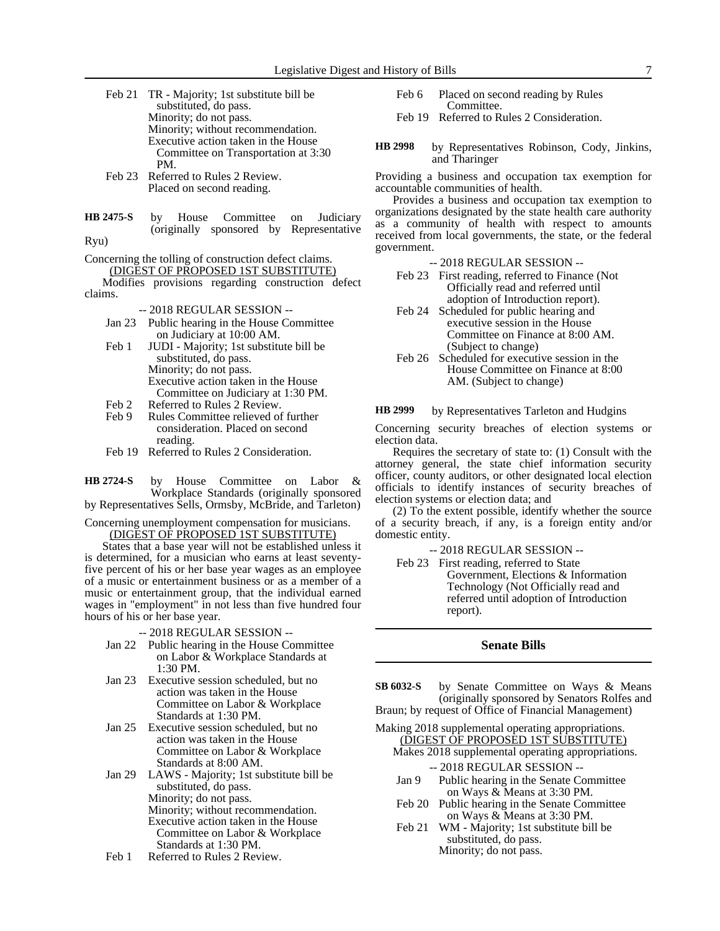Feb 21 TR - Majority; 1st substitute bill be substituted, do pass. Minority; do not pass. Minority; without recommendation. Executive action taken in the House Committee on Transportation at 3:30 PM.

- Feb 23 Referred to Rules 2 Review. Placed on second reading.
- by House Committee on Judiciary (originally sponsored by Representative **HB 2475-S**

Ryu)

Concerning the tolling of construction defect claims. (DIGEST OF PROPOSED 1ST SUBSTITUTE)

Modifies provisions regarding construction defect claims.

-- 2018 REGULAR SESSION --

- Jan 23 Public hearing in the House Committee on Judiciary at 10:00 AM.
- Feb 1 JUDI Majority; 1st substitute bill be substituted, do pass. Minority; do not pass. Executive action taken in the House Committee on Judiciary at 1:30 PM.
- Feb 2 Referred to Rules 2 Review.<br>Feb 9 Rules Committee relieved of
- Rules Committee relieved of further consideration. Placed on second reading.
- Feb 19 Referred to Rules 2 Consideration.

by House Committee on Labor & Workplace Standards (originally sponsored by Representatives Sells, Ormsby, McBride, and Tarleton) **HB 2724-S**

Concerning unemployment compensation for musicians. (DIGEST OF PROPOSED 1ST SUBSTITUTE)

States that a base year will not be established unless it is determined, for a musician who earns at least seventyfive percent of his or her base year wages as an employee of a music or entertainment business or as a member of a music or entertainment group, that the individual earned wages in "employment" in not less than five hundred four hours of his or her base year.

- -- 2018 REGULAR SESSION --
- Jan 22 Public hearing in the House Committee on Labor & Workplace Standards at 1:30 PM.
- Jan 23 Executive session scheduled, but no action was taken in the House Committee on Labor & Workplace Standards at 1:30 PM.
- Jan 25 Executive session scheduled, but no action was taken in the House Committee on Labor & Workplace Standards at 8:00 AM.

Jan 29 LAWS - Majority; 1st substitute bill be substituted, do pass. Minority; do not pass. Minority; without recommendation. Executive action taken in the House Committee on Labor & Workplace Standards at 1:30 PM.

Feb 1 Referred to Rules 2 Review.

- Feb 6 Placed on second reading by Rules Committee.
- Feb 19 Referred to Rules 2 Consideration.
- by Representatives Robinson, Cody, Jinkins, and Tharinger **HB 2998**

Providing a business and occupation tax exemption for accountable communities of health.

Provides a business and occupation tax exemption to organizations designated by the state health care authority as a community of health with respect to amounts received from local governments, the state, or the federal government.

- -- 2018 REGULAR SESSION --
- Feb 23 First reading, referred to Finance (Not Officially read and referred until adoption of Introduction report).
- Feb 24 Scheduled for public hearing and executive session in the House Committee on Finance at 8:00 AM. (Subject to change)
- Feb 26 Scheduled for executive session in the House Committee on Finance at 8:00 AM. (Subject to change)

#### by Representatives Tarleton and Hudgins **HB 2999**

Concerning security breaches of election systems or election data.

Requires the secretary of state to: (1) Consult with the attorney general, the state chief information security officer, county auditors, or other designated local election officials to identify instances of security breaches of election systems or election data; and

(2) To the extent possible, identify whether the source of a security breach, if any, is a foreign entity and/or domestic entity.

-- 2018 REGULAR SESSION --

Feb 23 First reading, referred to State Government, Elections & Information Technology (Not Officially read and referred until adoption of Introduction report).

### **Senate Bills**

- by Senate Committee on Ways & Means (originally sponsored by Senators Rolfes and Braun; by request of Office of Financial Management) **SB 6032-S**
- Making 2018 supplemental operating appropriations. (DIGEST OF PROPOSED 1ST SUBSTITUTE) Makes 2018 supplemental operating appropriations.
	- -- 2018 REGULAR SESSION --
	- Jan 9 Public hearing in the Senate Committee on Ways & Means at 3:30 PM.
	- Feb 20 Public hearing in the Senate Committee on Ways & Means at 3:30 PM.
	- Feb 21 WM Majority; 1st substitute bill be substituted, do pass. Minority; do not pass.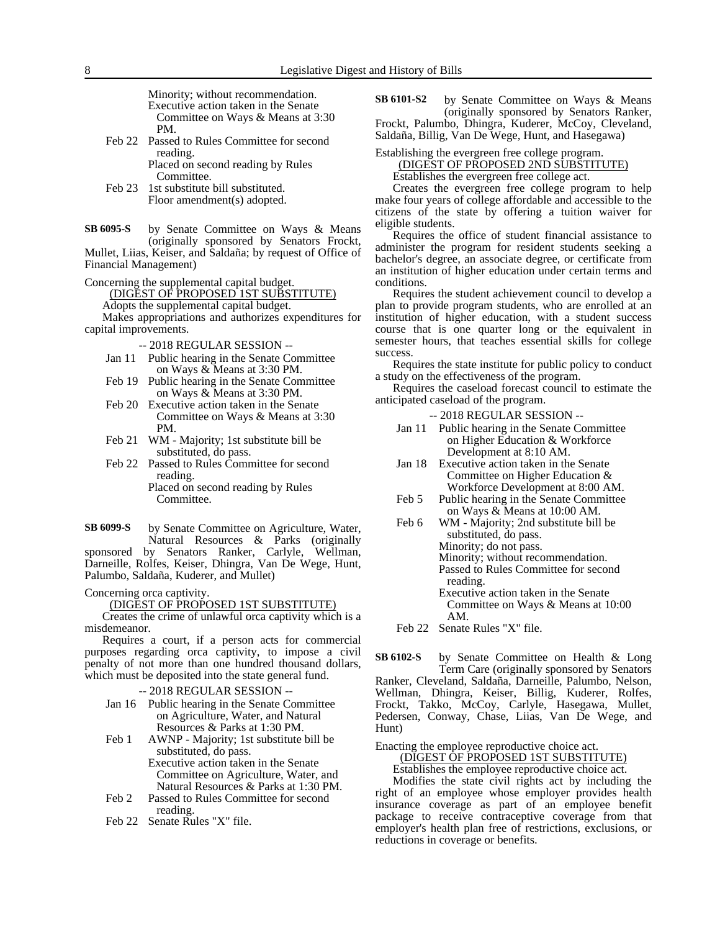Minority; without recommendation. Executive action taken in the Senate Committee on Ways & Means at 3:30 PM.

Feb 22 Passed to Rules Committee for second reading. Placed on second reading by Rules

Committee.

Feb 23 1st substitute bill substituted. Floor amendment(s) adopted.

by Senate Committee on Ways & Means (originally sponsored by Senators Frockt, Mullet, Liias, Keiser, and Saldaña; by request of Office of Financial Management) **SB 6095-S**

Concerning the supplemental capital budget.

(DIGEST OF PROPOSED 1ST SUBSTITUTE)

Adopts the supplemental capital budget. Makes appropriations and authorizes expenditures for capital improvements.

- -- 2018 REGULAR SESSION --
- Jan 11 Public hearing in the Senate Committee on Ways & Means at 3:30 PM.
- Feb 19 Public hearing in the Senate Committee on Ways & Means at 3:30 PM.
- Feb 20 Executive action taken in the Senate Committee on Ways & Means at 3:30 PM.
- Feb 21 WM Majority; 1st substitute bill be substituted, do pass.
- Feb 22 Passed to Rules Committee for second reading. Placed on second reading by Rules Committee.

by Senate Committee on Agriculture, Water, Natural Resources & Parks (originally sponsored by Senators Ranker, Carlyle, Wellman, **SB 6099-S**

Darneille, Rolfes, Keiser, Dhingra, Van De Wege, Hunt, Palumbo, Saldaña, Kuderer, and Mullet)

Concerning orca captivity.

(DIGEST OF PROPOSED 1ST SUBSTITUTE)

Creates the crime of unlawful orca captivity which is a misdemeanor.

Requires a court, if a person acts for commercial purposes regarding orca captivity, to impose a civil penalty of not more than one hundred thousand dollars, which must be deposited into the state general fund.

-- 2018 REGULAR SESSION --

- Jan 16 Public hearing in the Senate Committee on Agriculture, Water, and Natural Resources & Parks at 1:30 PM.
- Feb 1 AWNP Majority; 1st substitute bill be substituted, do pass. Executive action taken in the Senate
	- Committee on Agriculture, Water, and Natural Resources & Parks at 1:30 PM.
- Feb 2 Passed to Rules Committee for second reading.
- Feb 22 Senate Rules "X" file.

by Senate Committee on Ways & Means (originally sponsored by Senators Ranker, Frockt, Palumbo, Dhingra, Kuderer, McCoy, Cleveland, **SB 6101-S2**

Saldaña, Billig, Van De Wege, Hunt, and Hasegawa)

#### Establishing the evergreen free college program. (DIGEST OF PROPOSED 2ND SUBSTITUTE)

Establishes the evergreen free college act.

Creates the evergreen free college program to help make four years of college affordable and accessible to the citizens of the state by offering a tuition waiver for eligible students.

Requires the office of student financial assistance to administer the program for resident students seeking a bachelor's degree, an associate degree, or certificate from an institution of higher education under certain terms and conditions.

Requires the student achievement council to develop a plan to provide program students, who are enrolled at an institution of higher education, with a student success course that is one quarter long or the equivalent in semester hours, that teaches essential skills for college success.

Requires the state institute for public policy to conduct a study on the effectiveness of the program.

Requires the caseload forecast council to estimate the anticipated caseload of the program.

-- 2018 REGULAR SESSION --

- Jan 11 Public hearing in the Senate Committee on Higher Education & Workforce Development at 8:10 AM.
- Jan 18 Executive action taken in the Senate Committee on Higher Education & Workforce Development at 8:00 AM.
- Feb 5 Public hearing in the Senate Committee on Ways & Means at 10:00 AM.
- Feb 6 WM Majority; 2nd substitute bill be substituted, do pass. Minority; do not pass. Minority; without recommendation. Passed to Rules Committee for second reading.
	- Executive action taken in the Senate Committee on Ways & Means at 10:00 AM.

Feb 22 Senate Rules "X" file.

by Senate Committee on Health & Long Term Care (originally sponsored by Senators Ranker, Cleveland, Saldaña, Darneille, Palumbo, Nelson, Wellman, Dhingra, Keiser, Billig, Kuderer, Rolfes, Frockt, Takko, McCoy, Carlyle, Hasegawa, Mullet, Pedersen, Conway, Chase, Liias, Van De Wege, and Hunt) **SB 6102-S**

Enacting the employee reproductive choice act.

(DIGEST OF PROPOSED 1ST SUBSTITUTE)

Establishes the employee reproductive choice act.

Modifies the state civil rights act by including the right of an employee whose employer provides health insurance coverage as part of an employee benefit package to receive contraceptive coverage from that employer's health plan free of restrictions, exclusions, or reductions in coverage or benefits.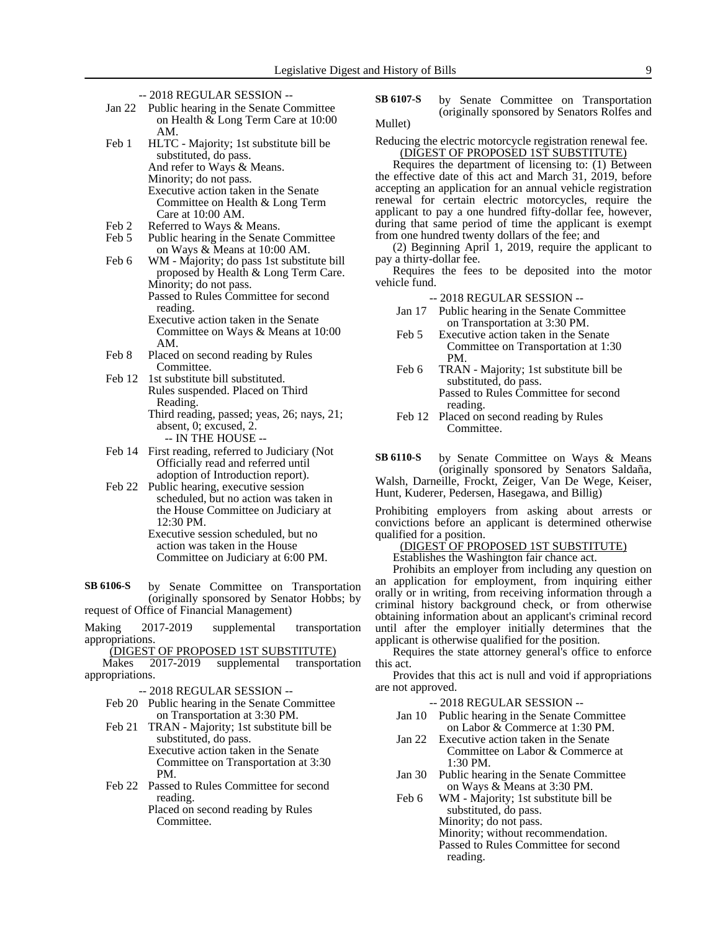- -- 2018 REGULAR SESSION --
- Jan 22 Public hearing in the Senate Committee on Health & Long Term Care at 10:00 AM.
- Feb 1 HLTC Majority; 1st substitute bill be substituted, do pass. And refer to Ways & Means. Minority; do not pass. Executive action taken in the Senate Committee on Health & Long Term Care at 10:00 AM.
- Feb 2 Referred to Ways & Means.<br>Feb 5 Public hearing in the Senate
- Public hearing in the Senate Committee on Ways & Means at 10:00 AM.

Feb 6 WM - Majority; do pass 1st substitute bill proposed by Health & Long Term Care. Minority; do not pass. Passed to Rules Committee for second reading. Executive action taken in the Senate

Committee on Ways & Means at 10:00 AM.

- Feb 8 Placed on second reading by Rules Committee.
- Feb 12 1st substitute bill substituted. Rules suspended. Placed on Third Reading. Third reading, passed; yeas, 26; nays, 21; absent, 0; excused, 2. -- IN THE HOUSE --
- Feb 14 First reading, referred to Judiciary (Not Officially read and referred until adoption of Introduction report).
- Feb 22 Public hearing, executive session scheduled, but no action was taken in the House Committee on Judiciary at 12:30 PM.
	- Executive session scheduled, but no action was taken in the House Committee on Judiciary at 6:00 PM.

by Senate Committee on Transportation (originally sponsored by Senator Hobbs; by request of Office of Financial Management) **SB 6106-S**

Making 2017-2019 supplemental transportation appropriations.

(DIGEST OF PROPOSED 1ST SUBSTITUTE)

Makes 2017-2019 supplemental transportation appropriations.

-- 2018 REGULAR SESSION --

- Feb 20 Public hearing in the Senate Committee on Transportation at 3:30 PM.
- Feb 21 TRAN Majority; 1st substitute bill be substituted, do pass. Executive action taken in the Senate Committee on Transportation at 3:30 PM.
- Feb 22 Passed to Rules Committee for second reading.

Placed on second reading by Rules Committee.

by Senate Committee on Transportation (originally sponsored by Senators Rolfes and Mullet) **SB 6107-S**

Reducing the electric motorcycle registration renewal fee. (DIGEST OF PROPOSED 1ST SUBSTITUTE)

Requires the department of licensing to: (1) Between the effective date of this act and March 31, 2019, before accepting an application for an annual vehicle registration renewal for certain electric motorcycles, require the applicant to pay a one hundred fifty-dollar fee, however, during that same period of time the applicant is exempt from one hundred twenty dollars of the fee; and

(2) Beginning April 1, 2019, require the applicant to pay a thirty-dollar fee.

Requires the fees to be deposited into the motor vehicle fund.

-- 2018 REGULAR SESSION --

- Jan 17 Public hearing in the Senate Committee on Transportation at 3:30 PM.
- Feb 5 Executive action taken in the Senate Committee on Transportation at 1:30 PM.
- Feb 6 TRAN Majority; 1st substitute bill be substituted, do pass. Passed to Rules Committee for second reading.
- Feb 12 Placed on second reading by Rules Committee.

by Senate Committee on Ways & Means (originally sponsored by Senators Saldaña, Walsh, Darneille, Frockt, Zeiger, Van De Wege, Keiser, **SB 6110-S**

Hunt, Kuderer, Pedersen, Hasegawa, and Billig)

Prohibiting employers from asking about arrests or convictions before an applicant is determined otherwise qualified for a position.

(DIGEST OF PROPOSED 1ST SUBSTITUTE)

Establishes the Washington fair chance act.

Prohibits an employer from including any question on an application for employment, from inquiring either orally or in writing, from receiving information through a criminal history background check, or from otherwise obtaining information about an applicant's criminal record until after the employer initially determines that the applicant is otherwise qualified for the position.

Requires the state attorney general's office to enforce this act.

Provides that this act is null and void if appropriations are not approved.

-- 2018 REGULAR SESSION --

- Jan 10 Public hearing in the Senate Committee on Labor & Commerce at 1:30 PM.
- Jan 22 Executive action taken in the Senate Committee on Labor & Commerce at 1:30 PM.
- Jan 30 Public hearing in the Senate Committee on Ways & Means at 3:30 PM.

Feb 6 WM - Majority; 1st substitute bill be substituted, do pass. Minority; do not pass. Minority; without recommendation. Passed to Rules Committee for second reading.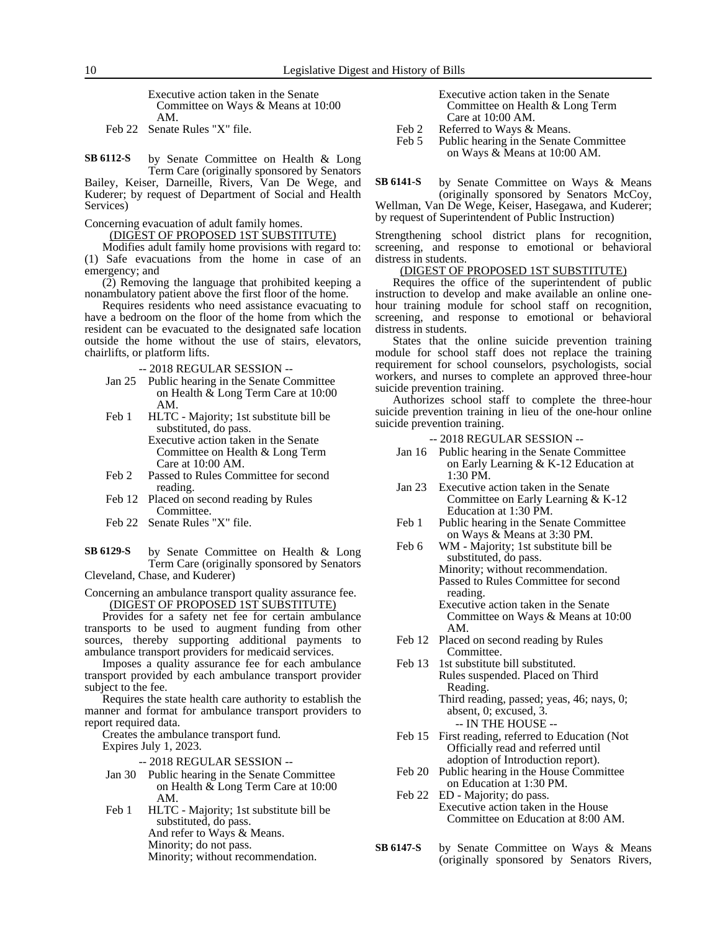Executive action taken in the Senate Committee on Ways & Means at 10:00 AM.

Feb 22 Senate Rules "X" file.

by Senate Committee on Health & Long Term Care (originally sponsored by Senators **SB 6112-S**

Bailey, Keiser, Darneille, Rivers, Van De Wege, and Kuderer; by request of Department of Social and Health Services)

Concerning evacuation of adult family homes.

(DIGEST OF PROPOSED 1ST SUBSTITUTE)

Modifies adult family home provisions with regard to: (1) Safe evacuations from the home in case of an emergency; and

(2) Removing the language that prohibited keeping a nonambulatory patient above the first floor of the home.

Requires residents who need assistance evacuating to have a bedroom on the floor of the home from which the resident can be evacuated to the designated safe location outside the home without the use of stairs, elevators, chairlifts, or platform lifts.

-- 2018 REGULAR SESSION --

- Jan 25 Public hearing in the Senate Committee on Health & Long Term Care at 10:00 AM.
- Feb 1 HLTC Majority; 1st substitute bill be substituted, do pass. Executive action taken in the Senate Committee on Health & Long Term

Care at 10:00 AM. Feb 2 Passed to Rules Committee for second

- reading. Feb 12 Placed on second reading by Rules Committee.
- Feb 22 Senate Rules "X" file.

by Senate Committee on Health & Long Term Care (originally sponsored by Senators Cleveland, Chase, and Kuderer) **SB 6129-S**

Concerning an ambulance transport quality assurance fee. (DIGEST OF PROPOSED 1ST SUBSTITUTE)

Provides for a safety net fee for certain ambulance transports to be used to augment funding from other sources, thereby supporting additional payments to ambulance transport providers for medicaid services.

Imposes a quality assurance fee for each ambulance transport provided by each ambulance transport provider subject to the fee.

Requires the state health care authority to establish the manner and format for ambulance transport providers to report required data.

Creates the ambulance transport fund.

Expires July 1, 2023.

-- 2018 REGULAR SESSION --

- Jan 30 Public hearing in the Senate Committee on Health & Long Term Care at 10:00 AM.
- Feb 1 HLTC Majority; 1st substitute bill be substituted, do pass. And refer to Ways & Means.
	- Minority; do not pass.

Minority; without recommendation.

- Executive action taken in the Senate Committee on Health & Long Term Care at 10:00 AM.
- Feb 2 Referred to Ways & Means.
- Feb 5 Public hearing in the Senate Committee on Ways & Means at 10:00 AM.

by Senate Committee on Ways & Means (originally sponsored by Senators McCoy, **SB 6141-S**

Wellman, Van De Wege, Keiser, Hasegawa, and Kuderer; by request of Superintendent of Public Instruction)

Strengthening school district plans for recognition, screening, and response to emotional or behavioral distress in students.

### (DIGEST OF PROPOSED 1ST SUBSTITUTE)

Requires the office of the superintendent of public instruction to develop and make available an online onehour training module for school staff on recognition, screening, and response to emotional or behavioral distress in students.

States that the online suicide prevention training module for school staff does not replace the training requirement for school counselors, psychologists, social workers, and nurses to complete an approved three-hour suicide prevention training.

Authorizes school staff to complete the three-hour suicide prevention training in lieu of the one-hour online suicide prevention training.

- -- 2018 REGULAR SESSION --
- Jan 16 Public hearing in the Senate Committee on Early Learning & K-12 Education at 1:30 PM.
- Jan 23 Executive action taken in the Senate Committee on Early Learning & K-12 Education at 1:30 PM.
- Feb 1 Public hearing in the Senate Committee on Ways & Means at 3:30 PM.
- Feb 6 WM Majority; 1st substitute bill be substituted, do pass. Minority; without recommendation. Passed to Rules Committee for second reading. Executive action taken in the Senate
	- Committee on Ways & Means at 10:00 AM.
- Feb 12 Placed on second reading by Rules Committee.
- Feb 13 1st substitute bill substituted. Rules suspended. Placed on Third Reading.

Third reading, passed; yeas, 46; nays, 0; absent, 0; excused, 3. -- IN THE HOUSE --

- Feb 15 First reading, referred to Education (Not Officially read and referred until adoption of Introduction report).
- Feb 20 Public hearing in the House Committee on Education at 1:30 PM.
- Feb 22 ED Majority; do pass. Executive action taken in the House Committee on Education at 8:00 AM.
- by Senate Committee on Ways & Means (originally sponsored by Senators Rivers, **SB 6147-S**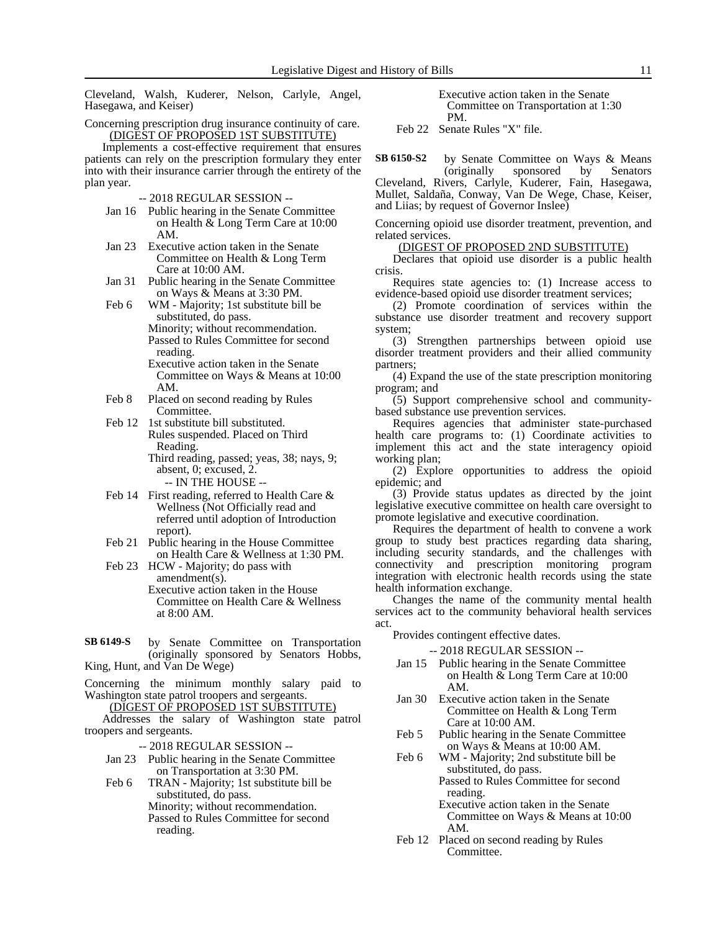Cleveland, Walsh, Kuderer, Nelson, Carlyle, Angel, Hasegawa, and Keiser)

Concerning prescription drug insurance continuity of care. (DIGEST OF PROPOSED 1ST SUBSTITUTE)

Implements a cost-effective requirement that ensures patients can rely on the prescription formulary they enter into with their insurance carrier through the entirety of the plan year.

-- 2018 REGULAR SESSION --

- Jan 16 Public hearing in the Senate Committee on Health & Long Term Care at 10:00 AM.
- Jan 23 Executive action taken in the Senate Committee on Health & Long Term Care at 10:00 AM.
- Jan 31 Public hearing in the Senate Committee on Ways & Means at 3:30 PM.
- Feb 6 WM Majority; 1st substitute bill be substituted, do pass. Minority; without recommendation.

Passed to Rules Committee for second reading. Executive action taken in the Senate

Committee on Ways & Means at 10:00 AM.

- Feb 8 Placed on second reading by Rules Committee.
- Feb 12 1st substitute bill substituted. Rules suspended. Placed on Third Reading. Third reading, passed; yeas, 38; nays, 9;

absent, 0; excused, 2.

-- IN THE HOUSE -- Feb 14 First reading, referred to Health Care & Wellness (Not Officially read and

referred until adoption of Introduction report).

- Feb 21 Public hearing in the House Committee on Health Care & Wellness at 1:30 PM.
- Feb 23 HCW Majority; do pass with amendment(s). Executive action taken in the House Committee on Health Care & Wellness at 8:00 AM.
- by Senate Committee on Transportation (originally sponsored by Senators Hobbs, King, Hunt, and Van De Wege) **SB 6149-S**

Concerning the minimum monthly salary paid to Washington state patrol troopers and sergeants.

(DIGEST OF PROPOSED 1ST SUBSTITUTE)

Addresses the salary of Washington state patrol troopers and sergeants.

-- 2018 REGULAR SESSION --

- Jan 23 Public hearing in the Senate Committee on Transportation at 3:30 PM.
- Feb 6 TRAN Majority; 1st substitute bill be substituted, do pass. Minority; without recommendation.

Passed to Rules Committee for second reading.

Executive action taken in the Senate Committee on Transportation at 1:30 PM.

Feb 22 Senate Rules "X" file.

by Senate Committee on Ways & Means (originally sponsored by Senators **SB 6150-S2**

Cleveland, Rivers, Carlyle, Kuderer, Fain, Hasegawa, Mullet, Saldaña, Conway, Van De Wege, Chase, Keiser, and Liias; by request of Governor Inslee)

Concerning opioid use disorder treatment, prevention, and related services.

(DIGEST OF PROPOSED 2ND SUBSTITUTE)

Declares that opioid use disorder is a public health crisis.

Requires state agencies to: (1) Increase access to evidence-based opioid use disorder treatment services;

(2) Promote coordination of services within the substance use disorder treatment and recovery support system;

(3) Strengthen partnerships between opioid use disorder treatment providers and their allied community partners;

(4) Expand the use of the state prescription monitoring program; and

(5) Support comprehensive school and communitybased substance use prevention services.

Requires agencies that administer state-purchased health care programs to: (1) Coordinate activities to implement this act and the state interagency opioid working plan;

(2) Explore opportunities to address the opioid epidemic; and

(3) Provide status updates as directed by the joint legislative executive committee on health care oversight to promote legislative and executive coordination.

Requires the department of health to convene a work group to study best practices regarding data sharing, including security standards, and the challenges with connectivity and prescription monitoring program integration with electronic health records using the state health information exchange.

Changes the name of the community mental health services act to the community behavioral health services act.

Provides contingent effective dates.

-- 2018 REGULAR SESSION --

- Jan 15 Public hearing in the Senate Committee on Health & Long Term Care at 10:00 AM.
- Jan 30 Executive action taken in the Senate Committee on Health & Long Term Care at 10:00 AM.
- Feb 5 Public hearing in the Senate Committee on Ways & Means at 10:00 AM.

Feb 6 WM - Majority; 2nd substitute bill be substituted, do pass. Passed to Rules Committee for second reading.

Executive action taken in the Senate Committee on Ways & Means at 10:00 AM.

Feb 12 Placed on second reading by Rules Committee.